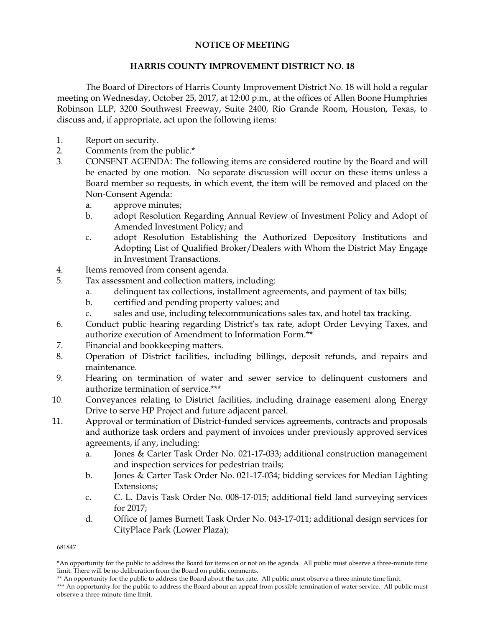## **NOTICE OF MEETING**

## **HARRIS COUNTY IMPROVEMENT DISTRICT NO. 18**

The Board of Directors of Harris County Improvement District No. 18 will hold a regular meeting on Wednesday, October 25, 2017, at 12:00 p.m., at the offices of Allen Boone Humphries Robinson LLP, 3200 Southwest Freeway, Suite 2400, Rio Grande Room, Houston, Texas, to discuss and, if appropriate, act upon the following items:

- 1. Report on security.
- 2. Comments from the public.\*
- 3. CONSENT AGENDA: The following items are considered routine by the Board and will be enacted by one motion. No separate discussion will occur on these items unless a Board member so requests, in which event, the item will be removed and placed on the Non-Consent Agenda:
	- a. approve minutes;
	- b. adopt Resolution Regarding Annual Review of Investment Policy and Adopt of Amended Investment Policy; and
	- c. adopt Resolution Establishing the Authorized Depository Institutions and Adopting List of Qualified Broker/Dealers with Whom the District May Engage in Investment Transactions.
- 4. Items removed from consent agenda.
- 5. Tax assessment and collection matters, including:
	- a. delinquent tax collections, installment agreements, and payment of tax bills;
	- b. certified and pending property values; and
	- c. sales and use, including telecommunications sales tax, and hotel tax tracking.
- 6. Conduct public hearing regarding District's tax rate, adopt Order Levying Taxes, and authorize execution of Amendment to Information Form.\*\*
- 7. Financial and bookkeeping matters.
- 8. Operation of District facilities, including billings, deposit refunds, and repairs and maintenance.
- 9. Hearing on termination of water and sewer service to delinquent customers and authorize termination of service.\*\*\*
- 10. Conveyances relating to District facilities, including drainage easement along Energy Drive to serve HP Project and future adjacent parcel.
- 11. Approval or termination of District-funded services agreements, contracts and proposals and authorize task orders and payment of invoices under previously approved services agreements, if any, including:
	- a. Jones & Carter Task Order No. 021-17-033; additional construction management and inspection services for pedestrian trails;
	- b. Jones & Carter Task Order No. 021-17-034; bidding services for Median Lighting Extensions;
	- c. C. L. Davis Task Order No. 008-17-015; additional field land surveying services for 2017;
	- d. Office of James Burnett Task Order No. 043-17-011; additional design services for CityPlace Park (Lower Plaza);

681847

<sup>\*</sup>An opportunity for the public to address the Board for items on or not on the agenda. All public must observe a three-minute time limit. There will be no deliberation from the Board on public comments.

<sup>\*\*</sup> An opportunity for the public to address the Board about the tax rate. All public must observe a three-minute time limit.

<sup>\*\*\*</sup> An opportunity for the public to address the Board about an appeal from possible termination of water service. All public must observe a three-minute time limit.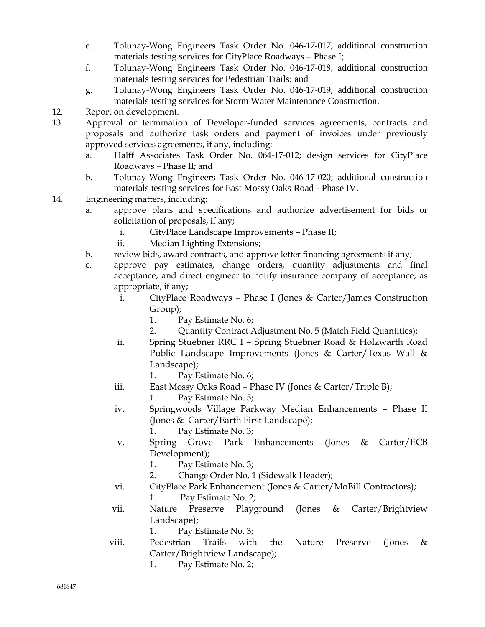- e. Tolunay-Wong Engineers Task Order No. 046-17-017; additional construction materials testing services for CityPlace Roadways – Phase I;
- f. Tolunay-Wong Engineers Task Order No. 046-17-018; additional construction materials testing services for Pedestrian Trails; and
- g. Tolunay-Wong Engineers Task Order No. 046-17-019; additional construction materials testing services for Storm Water Maintenance Construction.
- 12. Report on development.
- 13. Approval or termination of Developer-funded services agreements, contracts and proposals and authorize task orders and payment of invoices under previously approved services agreements, if any, including:
	- a. Halff Associates Task Order No. 064-17-012; design services for CityPlace Roadways – Phase II; and
	- b. Tolunay-Wong Engineers Task Order No. 046-17-020; additional construction materials testing services for East Mossy Oaks Road - Phase IV.
- 14. Engineering matters, including:
	- a. approve plans and specifications and authorize advertisement for bids or solicitation of proposals, if any;
		- i. CityPlace Landscape Improvements Phase II;
		- ii. Median Lighting Extensions;
	- b. review bids, award contracts, and approve letter financing agreements if any;
	- c. approve pay estimates, change orders, quantity adjustments and final acceptance, and direct engineer to notify insurance company of acceptance, as appropriate, if any;
		- i. CityPlace Roadways Phase I (Jones & Carter/James Construction Group);
			- 1. Pay Estimate No. 6;
			- 2. Quantity Contract Adjustment No. 5 (Match Field Quantities);
		- ii. Spring Stuebner RRC I Spring Stuebner Road & Holzwarth Road Public Landscape Improvements (Jones & Carter/Texas Wall & Landscape);
			- 1. Pay Estimate No. 6;
		- iii. East Mossy Oaks Road Phase IV (Jones & Carter/Triple B);
			- 1. Pay Estimate No. 5;
		- iv. Springwoods Village Parkway Median Enhancements Phase II (Jones & Carter/Earth First Landscape);
			- 1. Pay Estimate No. 3;
		- v. Spring Grove Park Enhancements (Jones & Carter/ECB Development);
			- 1. Pay Estimate No. 3;
			- 2. Change Order No. 1 (Sidewalk Header);
		- vi. CityPlace Park Enhancement (Jones & Carter/MoBill Contractors); 1. Pay Estimate No. 2;
		- vii. Nature Preserve Playground (Jones & Carter/Brightview Landscape);
			- 1. Pay Estimate No. 3;
		- viii. Pedestrian Trails with the Nature Preserve (Jones & Carter/Brightview Landscape);
			- 1. Pay Estimate No. 2;